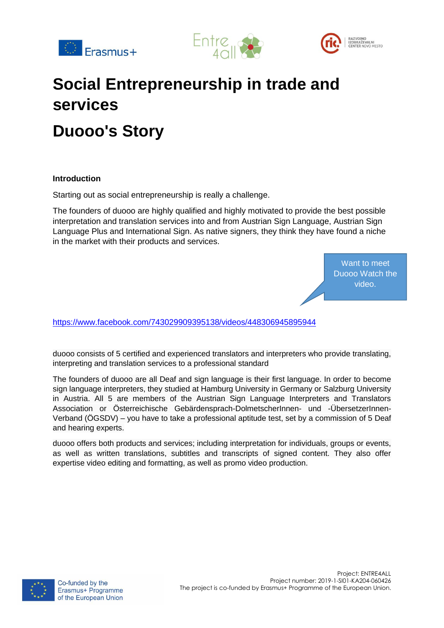





# **Social Entrepreneurship in trade and services Duooo's Story**

#### **Introduction**

Starting out as social entrepreneurship is really a challenge.

The founders of duooo are highly qualified and highly motivated to provide the best possible interpretation and translation services into and from Austrian Sign Language, Austrian Sign Language Plus and International Sign. As native signers, they think they have found a niche in the market with their products and services.

> Want to meet Duooo Watch the video.

<https://www.facebook.com/743029909395138/videos/448306945895944>

duooo consists of 5 certified and experienced translators and interpreters who provide translating, interpreting and translation services to a professional standard

The founders of duooo are all Deaf and sign language is their first language. In order to become sign language interpreters, they studied at Hamburg University in Germany or Salzburg University in Austria. All 5 are members of the Austrian Sign Language Interpreters and Translators Association or Österreichische Gebärdensprach-DolmetscherInnen- und -ÜbersetzerInnen-Verband (ÖGSDV) – you have to take a professional aptitude test, set by a commission of 5 Deaf and hearing experts.

duooo offers both products and services; including interpretation for individuals, groups or events, as well as written translations, subtitles and transcripts of signed content. They also offer expertise video editing and formatting, as well as promo video production.

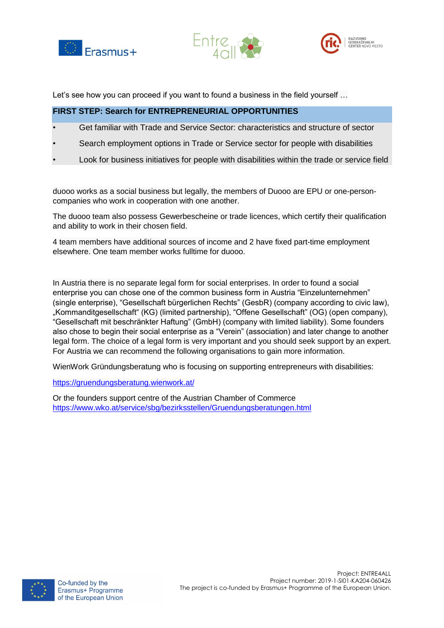





Let's see how you can proceed if you want to found a business in the field yourself ...

## **FIRST STEP: Search for ENTREPRENEURIAL OPPORTUNITIES**

- Get familiar with Trade and Service Sector: characteristics and structure of sector
- Search employment options in Trade or Service sector for people with disabilities
- Look for business initiatives for people with disabilities within the trade or service field

duooo works as a social business but legally, the members of Duooo are EPU or one-personcompanies who work in cooperation with one another.

The duooo team also possess Gewerbescheine or trade licences, which certify their qualification and ability to work in their chosen field.

4 team members have additional sources of income and 2 have fixed part-time employment elsewhere. One team member works fulltime for duooo.

In Austria there is no separate legal form for social enterprises. In order to found a social enterprise you can chose one of the common business form in Austria "Einzelunternehmen" (single enterprise), "Gesellschaft bürgerlichen Rechts" (GesbR) (company according to civic law), "Kommanditgesellschaft" (KG) (limited partnership), "Offene Gesellschaft" (OG) (open company), "Gesellschaft mit beschränkter Haftung" (GmbH) (company with limited liability). Some founders also chose to begin their social enterprise as a "Verein" (association) and later change to another legal form. The choice of a legal form is very important and you should seek support by an expert. For Austria we can recommend the following organisations to gain more information.

WienWork Gründungsberatung who is focusing on supporting entrepreneurs with disabilities:

<https://gruendungsberatung.wienwork.at/>

Or the founders support centre of the Austrian Chamber of Commerce <https://www.wko.at/service/sbg/bezirksstellen/Gruendungsberatungen.html>

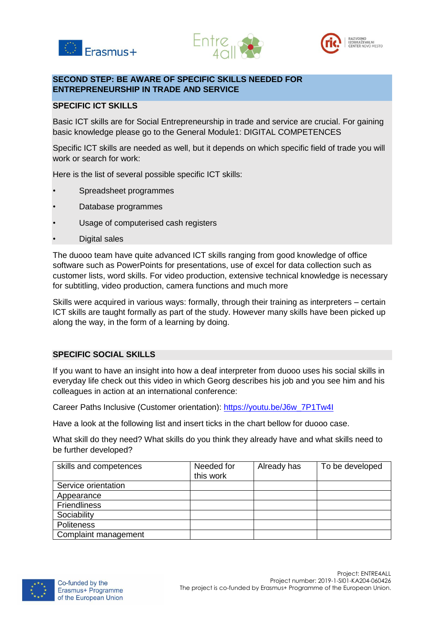





# **SECOND STEP: BE AWARE OF SPECIFIC SKILLS NEEDED FOR ENTREPRENEURSHIP IN TRADE AND SERVICE**

## **SPECIFIC ICT SKILLS**

Basic ICT skills are for Social Entrepreneurship in trade and service are crucial. For gaining basic knowledge please go to the General Module1: DIGITAL COMPETENCES

Specific ICT skills are needed as well, but it depends on which specific field of trade you will work or search for work:

Here is the list of several possible specific ICT skills:

- Spreadsheet programmes
- Database programmes
- Usage of computerised cash registers
- Digital sales

The duooo team have quite advanced ICT skills ranging from good knowledge of office software such as PowerPoints for presentations, use of excel for data collection such as customer lists, word skills. For video production, extensive technical knowledge is necessary for subtitling, video production, camera functions and much more

Skills were acquired in various ways: formally, through their training as interpreters – certain ICT skills are taught formally as part of the study. However many skills have been picked up along the way, in the form of a learning by doing.

#### **SPECIFIC SOCIAL SKILLS**

If you want to have an insight into how a deaf interpreter from duooo uses his social skills in everyday life check out this video in which Georg describes his job and you see him and his colleagues in action at an international conference:

Career Paths Inclusive (Customer orientation): [https://youtu.be/J6w\\_7P1Tw4I](https://youtu.be/J6w_7P1Tw4I)

Have a look at the following list and insert ticks in the chart bellow for duooo case.

What skill do they need? What skills do you think they already have and what skills need to be further developed?

| skills and competences | Needed for<br>this work | Already has | To be developed |
|------------------------|-------------------------|-------------|-----------------|
| Service orientation    |                         |             |                 |
| Appearance             |                         |             |                 |
| <b>Friendliness</b>    |                         |             |                 |
| Sociability            |                         |             |                 |
| <b>Politeness</b>      |                         |             |                 |
| Complaint management   |                         |             |                 |

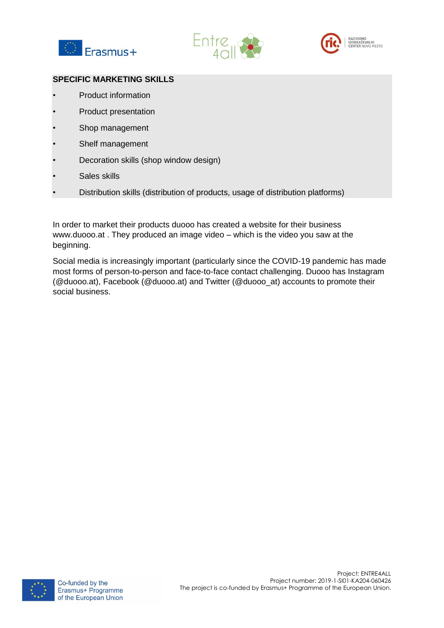





## **SPECIFIC MARKETING SKILLS**

- Product information
- Product presentation
- Shop management
- Shelf management
- Decoration skills (shop window design)
- Sales skills
- Distribution skills (distribution of products, usage of distribution platforms)

In order to market their products duooo has created a website for their business www.duooo.at . They produced an image video – which is the video you saw at the beginning.

Social media is increasingly important (particularly since the COVID-19 pandemic has made most forms of person-to-person and face-to-face contact challenging. Duooo has Instagram (@duooo.at), Facebook (@duooo.at) and Twitter (@duooo\_at) accounts to promote their social business.

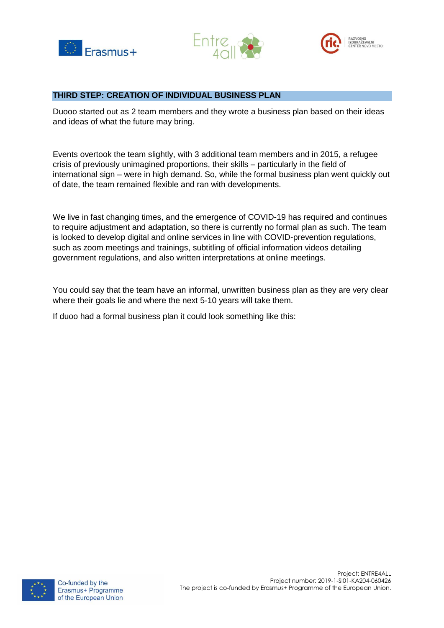





#### **THIRD STEP: CREATION OF INDIVIDUAL BUSINESS PLAN**

Duooo started out as 2 team members and they wrote a business plan based on their ideas and ideas of what the future may bring.

Events overtook the team slightly, with 3 additional team members and in 2015, a refugee crisis of previously unimagined proportions, their skills – particularly in the field of international sign – were in high demand. So, while the formal business plan went quickly out of date, the team remained flexible and ran with developments.

We live in fast changing times, and the emergence of COVID-19 has required and continues to require adjustment and adaptation, so there is currently no formal plan as such. The team is looked to develop digital and online services in line with COVID-prevention regulations, such as zoom meetings and trainings, subtitling of official information videos detailing government regulations, and also written interpretations at online meetings.

You could say that the team have an informal, unwritten business plan as they are very clear where their goals lie and where the next 5-10 years will take them.

If duoo had a formal business plan it could look something like this:

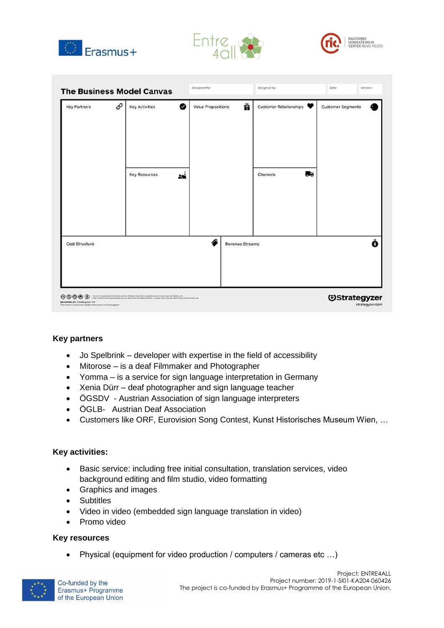





|                                                                                                                    |   | <b>The Business Model Canvas</b>                                                                                                                                                                                                                                                         | Designed for:             |                        | Designed by:                       |                 | Date:                    | Version: |
|--------------------------------------------------------------------------------------------------------------------|---|------------------------------------------------------------------------------------------------------------------------------------------------------------------------------------------------------------------------------------------------------------------------------------------|---------------------------|------------------------|------------------------------------|-----------------|--------------------------|----------|
| <b>Key Partners</b>                                                                                                | O | ◙<br><b>Key Activities</b><br><b>Key Resources</b><br>24 L                                                                                                                                                                                                                               | <b>Value Propositions</b> | ñ                      | Customer Relationships<br>Channels | ПŖ              | <b>Customer Segments</b> |          |
| Cost Structure                                                                                                     |   |                                                                                                                                                                                                                                                                                          | ∕≏                        | <b>Revenue Streams</b> |                                    |                 |                          | ❸        |
| $\circledcirc\circ\circ$<br>DESIGNED BY: Strategyzer AG<br>The makers of Business Model Generation and Strategyzer |   | This work is foursed under the Greative Commons Attribution Share Alike 2.0 Unported License, To view a copy of this footne, visit<br>PEQUIUM/WORTPDEA.org/Scenes/by-sacilitier send a letter to Greative Gomerone. 171 Second Street, Suite Joli, San Francisco, Galifornia, WUSA, USA. |                           |                        | <b><i><u>Ostrategyzer</u></i></b>  | strategyzer.com |                          |          |

# **Key partners**

- Jo Spelbrink developer with expertise in the field of accessibility
- Mitorose is a deaf Filmmaker and Photographer
- Yomma is a service for sign language interpretation in Germany
- Xenia Dürr deaf photographer and sign language teacher
- ÖGSDV Austrian Association of sign language interpreters
- ÖGLB- Austrian Deaf Association
- Customers like ORF, Eurovision Song Contest, Kunst Historisches Museum Wien, …

#### **Key activities:**

- Basic service: including free initial consultation, translation services, video background editing and film studio, video formatting
- Graphics and images
- Subtitles
- Video in video (embedded sign language translation in video)
- Promo video

#### **Key resources**

Physical (equipment for video production / computers / cameras etc …)